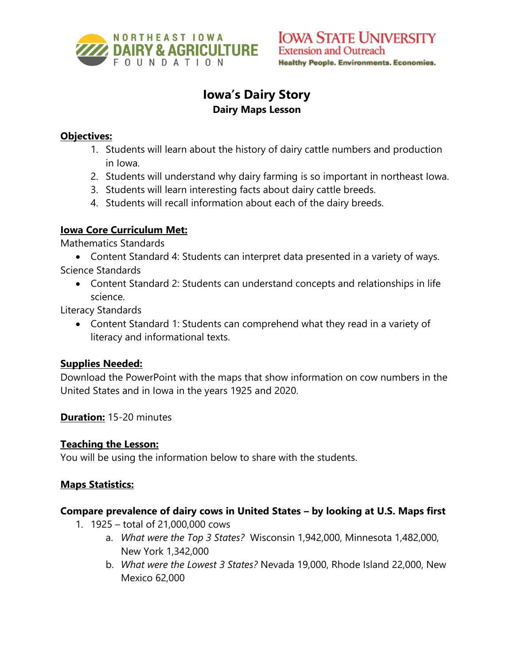

# **Iowa's Dairy Story Dairy Maps Lesson**

## **Objectives:**

- 1. Students will learn about the history of dairy cattle numbers and production in Iowa.
- 2. Students will understand why dairy farming is so important in northeast Iowa.
- 3. Students will learn interesting facts about dairy cattle breeds.
- 4. Students will recall information about each of the dairy breeds.

## **Iowa Core Curriculum Met:**

Mathematics Standards

• Content Standard 4: Students can interpret data presented in a variety of ways. Science Standards

• Content Standard 2: Students can understand concepts and relationships in life science.

Literacy Standards

• Content Standard 1: Students can comprehend what they read in a variety of literacy and informational texts.

# **Supplies Needed:**

Download the PowerPoint with the maps that show information on cow numbers in the United States and in Iowa in the years 1925 and 2020.

**Duration:** 15-20 minutes

# **Teaching the Lesson:**

You will be using the information below to share with the students.

# **Maps Statistics:**

#### **Compare prevalence of dairy cows in United States – by looking at U.S. Maps first**

- 1. 1925 total of 21,000,000 cows
	- a. *What were the Top 3 States?* Wisconsin 1,942,000, Minnesota 1,482,000, New York 1,342,000
	- b. *What were the Lowest 3 States?* Nevada 19,000, Rhode Island 22,000, New Mexico 62,000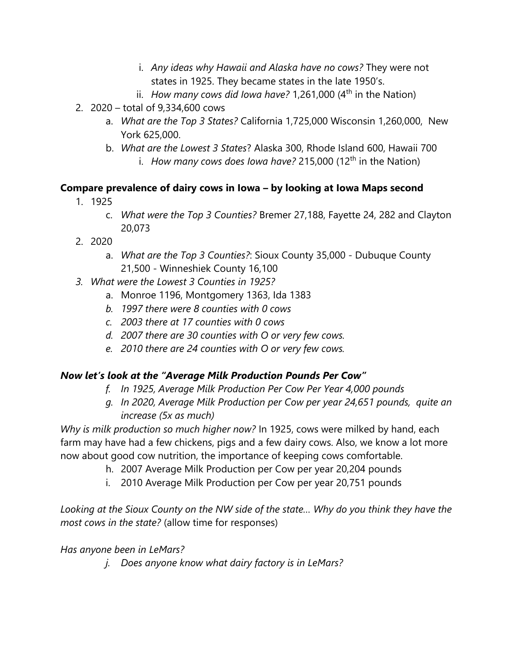- i. *Any ideas why Hawaii and Alaska have no cows?* They were not states in 1925. They became states in the late 1950's.
- ii. *How many cows did Iowa have?* 1,261,000 (4<sup>th</sup> in the Nation)
- 2. 2020 total of 9,334,600 cows
	- a. *What are the Top 3 States?* California 1,725,000 Wisconsin 1,260,000, New York 625,000.
	- b. *What are the Lowest 3 States*? Alaska 300, Rhode Island 600, Hawaii 700 i. *How many cows does lowa have?* 215,000 (12<sup>th</sup> in the Nation)

# **Compare prevalence of dairy cows in Iowa – by looking at Iowa Maps second**

- 1. 1925
	- c. *What were the Top 3 Counties?* Bremer 27,188, Fayette 24, 282 and Clayton 20,073
- 2. 2020
	- a. *What are the Top 3 Counties?*: Sioux County 35,000 Dubuque County 21,500 - Winneshiek County 16,100
- *3. What were the Lowest 3 Counties in 1925?*
	- a. Monroe 1196, Montgomery 1363, Ida 1383
	- *b. 1997 there were 8 counties with 0 cows*
	- *c. 2003 there at 17 counties with 0 cows*
	- *d. 2007 there are 30 counties with O or very few cows.*
	- *e. 2010 there are 24 counties with O or very few cows.*

# *Now let's look at the "Average Milk Production Pounds Per Cow"*

- *f. In 1925, Average Milk Production Per Cow Per Year 4,000 pounds*
- *g. In 2020, Average Milk Production per Cow per year 24,651 pounds, quite an increase (5x as much)*

*Why is milk production so much higher now?* In 1925, cows were milked by hand, each farm may have had a few chickens, pigs and a few dairy cows. Also, we know a lot more now about good cow nutrition, the importance of keeping cows comfortable.

- h. 2007 Average Milk Production per Cow per year 20,204 pounds
- i. 2010 Average Milk Production per Cow per year 20,751 pounds

*Looking at the Sioux County on the NW side of the state… Why do you think they have the most cows in the state?* (allow time for responses)

#### *Has anyone been in LeMars?*

*j. Does anyone know what dairy factory is in LeMars?*